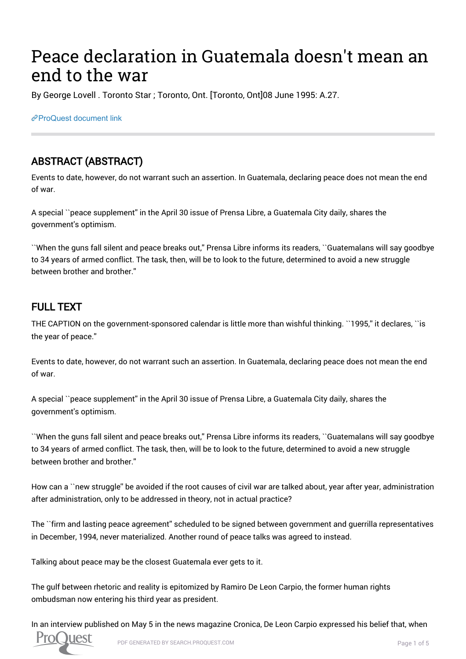# Peace declaration in Guatemala doesn't mean an end to the war

By George Lovell . Toronto Star ; Toronto, Ont. [Toronto, Ont]08 June 1995: A.27.

[ProQuest document link](https://proxy.queensu.ca/login?url=https://search.proquest.com/docview/437263059?accountid=6180)

## ABSTRACT (ABSTRACT)

Events to date, however, do not warrant such an assertion. In Guatemala, declaring peace does not mean the end of war.

A special ``peace supplement'' in the April 30 issue of Prensa Libre, a Guatemala City daily, shares the government's optimism.

``When the guns fall silent and peace breaks out,'' Prensa Libre informs its readers, ``Guatemalans will say goodbye to 34 years of armed conflict. The task, then, will be to look to the future, determined to avoid a new struggle between brother and brother.''

## FULL TEXT

THE CAPTION on the government-sponsored calendar is little more than wishful thinking. ``1995,'' it declares, ``is the year of peace.''

Events to date, however, do not warrant such an assertion. In Guatemala, declaring peace does not mean the end of war.

A special ``peace supplement'' in the April 30 issue of Prensa Libre, a Guatemala City daily, shares the government's optimism.

``When the guns fall silent and peace breaks out,'' Prensa Libre informs its readers, ``Guatemalans will say goodbye to 34 years of armed conflict. The task, then, will be to look to the future, determined to avoid a new struggle between brother and brother.''

How can a ``new struggle'' be avoided if the root causes of civil war are talked about, year after year, administration after administration, only to be addressed in theory, not in actual practice?

The ``firm and lasting peace agreement'' scheduled to be signed between government and guerrilla representatives in December, 1994, never materialized. Another round of peace talks was agreed to instead.

Talking about peace may be the closest Guatemala ever gets to it.

The gulf between rhetoric and reality is epitomized by Ramiro De Leon Carpio, the former human rights ombudsman now entering his third year as president.

In an interview published on May 5 in the news magazine Cronica, De Leon Carpio expressed his belief that, when

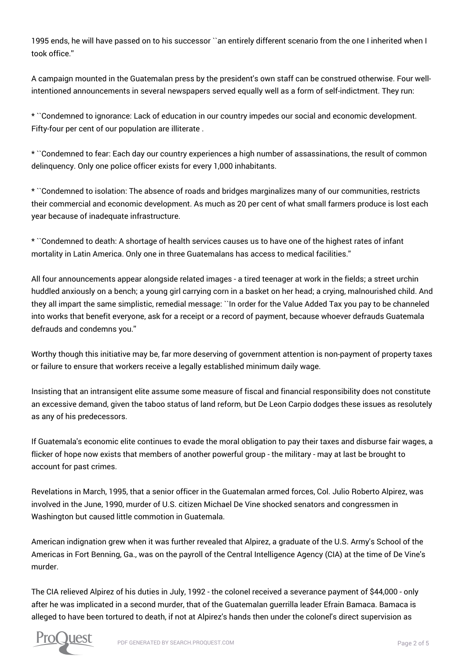1995 ends, he will have passed on to his successor ``an entirely different scenario from the one I inherited when I took office.''

A campaign mounted in the Guatemalan press by the president's own staff can be construed otherwise. Four wellintentioned announcements in several newspapers served equally well as a form of self-indictment. They run:

\* ``Condemned to ignorance: Lack of education in our country impedes our social and economic development. Fifty-four per cent of our population are illiterate .

\* ``Condemned to fear: Each day our country experiences a high number of assassinations, the result of common delinquency. Only one police officer exists for every 1,000 inhabitants.

\* ``Condemned to isolation: The absence of roads and bridges marginalizes many of our communities, restricts their commercial and economic development. As much as 20 per cent of what small farmers produce is lost each year because of inadequate infrastructure.

\* ``Condemned to death: A shortage of health services causes us to have one of the highest rates of infant mortality in Latin America. Only one in three Guatemalans has access to medical facilities.''

All four announcements appear alongside related images - a tired teenager at work in the fields; a street urchin huddled anxiously on a bench; a young girl carrying corn in a basket on her head; a crying, malnourished child. And they all impart the same simplistic, remedial message: ``In order for the Value Added Tax you pay to be channeled into works that benefit everyone, ask for a receipt or a record of payment, because whoever defrauds Guatemala defrauds and condemns you.''

Worthy though this initiative may be, far more deserving of government attention is non-payment of property taxes or failure to ensure that workers receive a legally established minimum daily wage.

Insisting that an intransigent elite assume some measure of fiscal and financial responsibility does not constitute an excessive demand, given the taboo status of land reform, but De Leon Carpio dodges these issues as resolutely as any of his predecessors.

If Guatemala's economic elite continues to evade the moral obligation to pay their taxes and disburse fair wages, a flicker of hope now exists that members of another powerful group - the military - may at last be brought to account for past crimes.

Revelations in March, 1995, that a senior officer in the Guatemalan armed forces, Col. Julio Roberto Alpirez, was involved in the June, 1990, murder of U.S. citizen Michael De Vine shocked senators and congressmen in Washington but caused little commotion in Guatemala.

American indignation grew when it was further revealed that Alpirez, a graduate of the U.S. Army's School of the Americas in Fort Benning, Ga., was on the payroll of the Central Intelligence Agency (CIA) at the time of De Vine's murder.

The CIA relieved Alpirez of his duties in July, 1992 - the colonel received a severance payment of \$44,000 - only after he was implicated in a second murder, that of the Guatemalan guerrilla leader Efrain Bamaca. Bamaca is alleged to have been tortured to death, if not at Alpirez's hands then under the colonel's direct supervision as

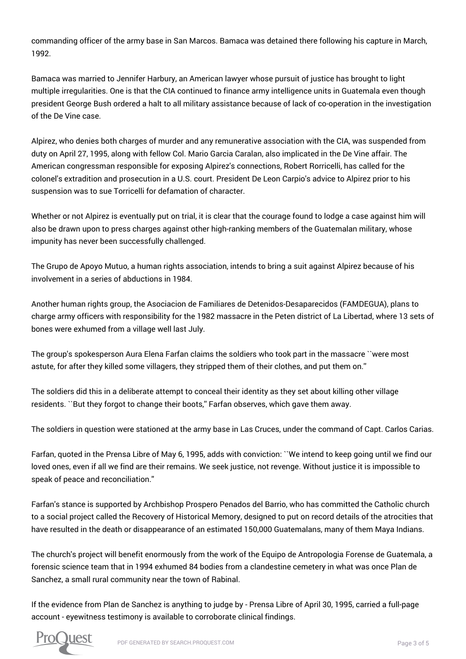commanding officer of the army base in San Marcos. Bamaca was detained there following his capture in March, 1992.

Bamaca was married to Jennifer Harbury, an American lawyer whose pursuit of justice has brought to light multiple irregularities. One is that the CIA continued to finance army intelligence units in Guatemala even though president George Bush ordered a halt to all military assistance because of lack of co-operation in the investigation of the De Vine case.

Alpirez, who denies both charges of murder and any remunerative association with the CIA, was suspended from duty on April 27, 1995, along with fellow Col. Mario Garcia Caralan, also implicated in the De Vine affair. The American congressman responsible for exposing Alpirez's connections, Robert Rorricelli, has called for the colonel's extradition and prosecution in a U.S. court. President De Leon Carpio's advice to Alpirez prior to his suspension was to sue Torricelli for defamation of character.

Whether or not Alpirez is eventually put on trial, it is clear that the courage found to lodge a case against him will also be drawn upon to press charges against other high-ranking members of the Guatemalan military, whose impunity has never been successfully challenged.

The Grupo de Apoyo Mutuo, a human rights association, intends to bring a suit against Alpirez because of his involvement in a series of abductions in 1984.

Another human rights group, the Asociacion de Familiares de Detenidos-Desaparecidos (FAMDEGUA), plans to charge army officers with responsibility for the 1982 massacre in the Peten district of La Libertad, where 13 sets of bones were exhumed from a village well last July.

The group's spokesperson Aura Elena Farfan claims the soldiers who took part in the massacre ``were most astute, for after they killed some villagers, they stripped them of their clothes, and put them on.''

The soldiers did this in a deliberate attempt to conceal their identity as they set about killing other village residents. ``But they forgot to change their boots,'' Farfan observes, which gave them away.

The soldiers in question were stationed at the army base in Las Cruces, under the command of Capt. Carlos Carias.

Farfan, quoted in the Prensa Libre of May 6, 1995, adds with conviction: ``We intend to keep going until we find our loved ones, even if all we find are their remains. We seek justice, not revenge. Without justice it is impossible to speak of peace and reconciliation.''

Farfan's stance is supported by Archbishop Prospero Penados del Barrio, who has committed the Catholic church to a social project called the Recovery of Historical Memory, designed to put on record details of the atrocities that have resulted in the death or disappearance of an estimated 150,000 Guatemalans, many of them Maya Indians.

The church's project will benefit enormously from the work of the Equipo de Antropologia Forense de Guatemala, a forensic science team that in 1994 exhumed 84 bodies from a clandestine cemetery in what was once Plan de Sanchez, a small rural community near the town of Rabinal.

If the evidence from Plan de Sanchez is anything to judge by - Prensa Libre of April 30, 1995, carried a full-page account - eyewitness testimony is available to corroborate clinical findings.

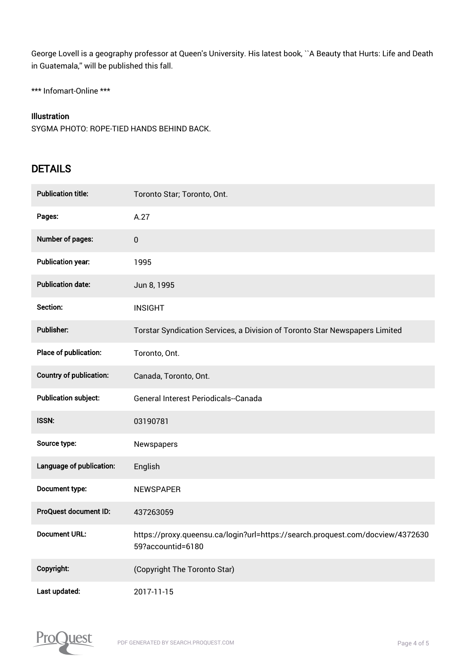George Lovell is a geography professor at Queen's University. His latest book, ``A Beauty that Hurts: Life and Death in Guatemala,'' will be published this fall.

\*\*\* Infomart-Online \*\*\*

#### Illustration

SYGMA PHOTO: ROPE-TIED HANDS BEHIND BACK.

### **DETAILS**

| <b>Publication title:</b>   | Toronto Star; Toronto, Ont.                                                                         |
|-----------------------------|-----------------------------------------------------------------------------------------------------|
| Pages:                      | A.27                                                                                                |
| Number of pages:            | 0                                                                                                   |
| <b>Publication year:</b>    | 1995                                                                                                |
| <b>Publication date:</b>    | Jun 8, 1995                                                                                         |
| Section:                    | <b>INSIGHT</b>                                                                                      |
| <b>Publisher:</b>           | Torstar Syndication Services, a Division of Toronto Star Newspapers Limited                         |
| Place of publication:       | Toronto, Ont.                                                                                       |
| Country of publication:     | Canada, Toronto, Ont.                                                                               |
| <b>Publication subject:</b> | General Interest Periodicals--Canada                                                                |
| <b>ISSN:</b>                | 03190781                                                                                            |
| Source type:                | Newspapers                                                                                          |
| Language of publication:    | English                                                                                             |
| Document type:              | <b>NEWSPAPER</b>                                                                                    |
| ProQuest document ID:       | 437263059                                                                                           |
| <b>Document URL:</b>        | https://proxy.queensu.ca/login?url=https://search.proquest.com/docview/4372630<br>59?accountid=6180 |
| Copyright:                  | (Copyright The Toronto Star)                                                                        |
| Last updated:               | 2017-11-15                                                                                          |